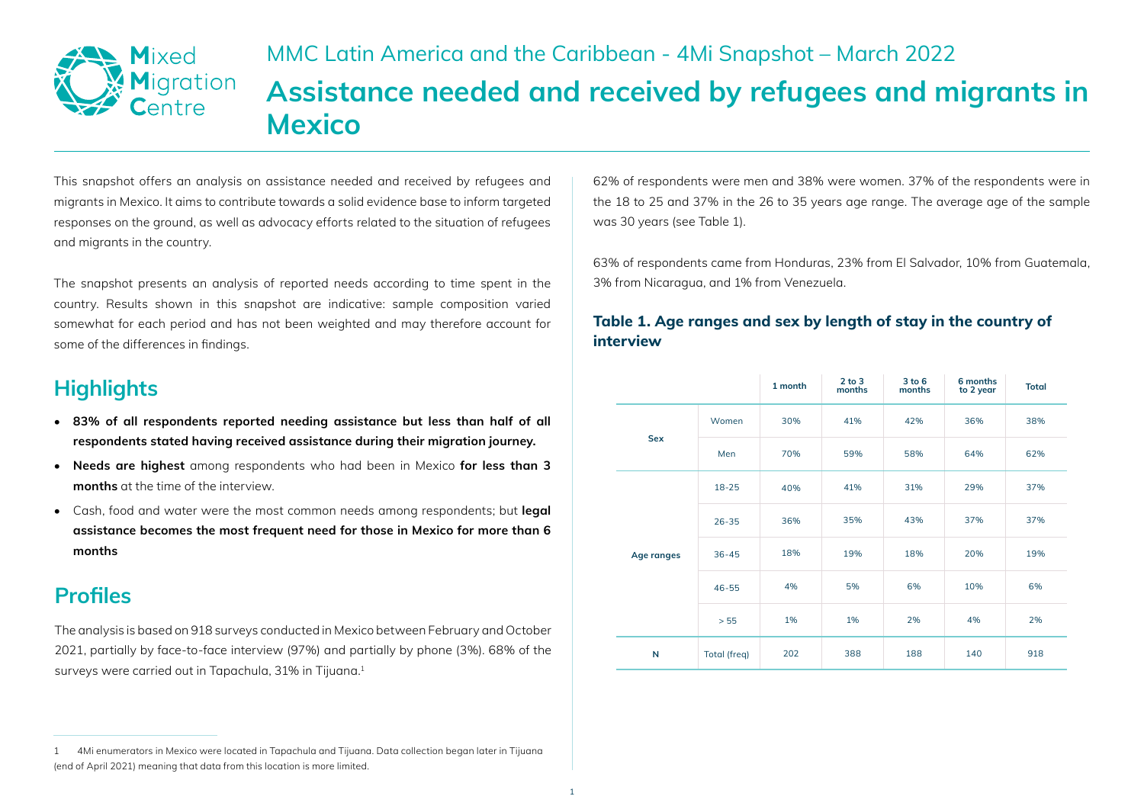

# MMC Latin America and the Caribbean - 4Mi Snapshot – March 2022 **Assistance needed and received by refugees and migrants in Mexico**

This snapshot offers an analysis on assistance needed and received by refugees and migrants in Mexico. It aims to contribute towards a solid evidence base to inform targeted responses on the ground, as well as advocacy efforts related to the situation of refugees and migrants in the country.

The snapshot presents an analysis of reported needs according to time spent in the country. Results shown in this snapshot are indicative: sample composition varied somewhat for each period and has not been weighted and may therefore account for some of the differences in findings.

# **Highlights**

- **83% of all respondents reported needing assistance but less than half of all respondents stated having received assistance during their migration journey.**
- **Needs are highest** among respondents who had been in Mexico **for less than 3 months** at the time of the interview.
- Cash, food and water were the most common needs among respondents; but **legal assistance becomes the most frequent need for those in Mexico for more than 6 months**

# **Profiles**

The analysis is based on 918 surveys conducted in Mexico between February and October 2021, partially by face-to-face interview (97%) and partially by phone (3%). 68% of the surveys were carried out in Tapachula, 31% in Tijuana.<sup>1</sup>

62% of respondents were men and 38% were women. 37% of the respondents were in the 18 to 25 and 37% in the 26 to 35 years age range. The average age of the sample was 30 years (see Table 1).

63% of respondents came from Honduras, 23% from El Salvador, 10% from Guatemala, 3% from Nicaragua, and 1% from Venezuela.

#### **Table 1. Age ranges and sex by length of stay in the country of interview**

|            |              | 1 month | $2$ to $3$<br>months | 3 to 6<br>months | 6 months<br>to 2 year | <b>Total</b> |
|------------|--------------|---------|----------------------|------------------|-----------------------|--------------|
| <b>Sex</b> | Women        | 30%     | 41%                  | 42%              | 36%                   | 38%          |
|            | Men          | 70%     | 59%                  | 58%              | 64%                   | 62%          |
| Age ranges | $18 - 25$    | 40%     | 41%                  | 31%              | 29%                   | 37%          |
|            | $26 - 35$    | 36%     | 35%                  | 43%              | 37%                   | 37%          |
|            | $36 - 45$    | 18%     | 19%                  | 18%              | 20%                   | 19%          |
|            | $46 - 55$    | 4%      | 5%                   | 6%               | 10%                   | 6%           |
|            | > 55         | 1%      | 1%                   | 2%               | 4%                    | 2%           |
| N          | Total (freq) | 202     | 388                  | 188              | 140                   | 918          |

<sup>1 4</sup>Mi enumerators in Mexico were located in Tapachula and Tijuana. Data collection began later in Tijuana (end of April 2021) meaning that data from this location is more limited.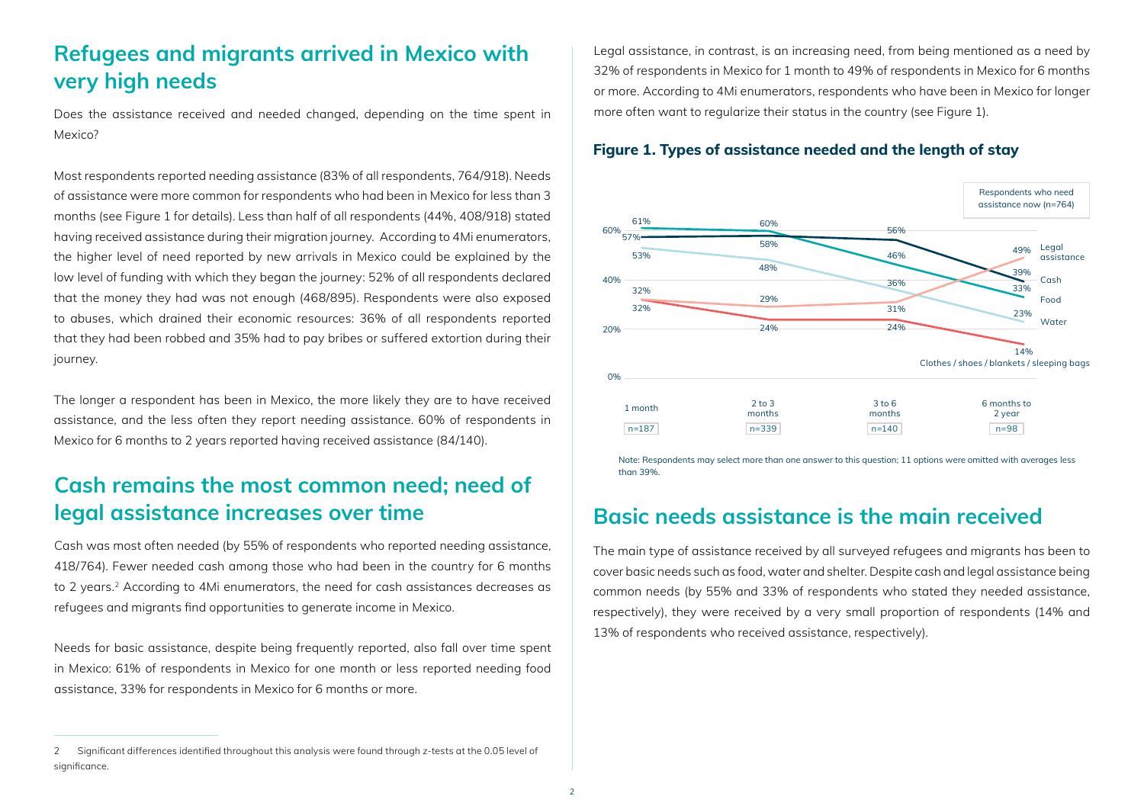### **Refugees and migrants arrived in Mexico with very high needs**

Does the assistance received and needed changed, depending on the time spent in Mexico?

Most respondents reported needing assistance (83% of all respondents, 764/918). Needs of assistance were more common for respondents who had been in Mexico for less than 3 months (see Figure 1 for details). Less than half of all respondents (44%, 408/918) stated having received assistance during their migration journey. According to 4Mi enumerators, the higher level of need reported by new arrivals in Mexico could be explained by the low level of funding with which they began the journey: 52% of all respondents declared that the money they had was not enough (468/895). Respondents were also exposed to abuses, which drained their economic resources: 36% of all respondents reported that they had been robbed and 35% had to pay bribes or suffered extortion during their journey.

The longer a respondent has been in Mexico, the more likely they are to have received assistance, and the less often they report needing assistance. 60% of respondents in Mexico for 6 months to 2 years reported having received assistance (84/140).

### **Cash remains the most common need; need of legal assistance increases over time**

Cash was most often needed (by 55% of respondents who reported needing assistance, 418/764). Fewer needed cash among those who had been in the country for 6 months to 2 years.2 According to 4Mi enumerators, the need for cash assistances decreases as refugees and migrants find opportunities to generate income in Mexico.

Needs for basic assistance, despite being frequently reported, also fall over time spent in Mexico: 61% of respondents in Mexico for one month or less reported needing food assistance, 33% for respondents in Mexico for 6 months or more.

2 Significant differences identified throughout this analysis were found through z-tests at the 0.05 level of significance.

Legal assistance, in contrast, is an increasing need, from being mentioned as a need by 32% of respondents in Mexico for 1 month to 49% of respondents in Mexico for 6 months or more. According to 4Mi enumerators, respondents who have been in Mexico for longer more often want to regularize their status in the country (see Figure 1).

#### **Figure 1. Types of assistance needed and the length of stay**



Note: Respondents may select more than one answer to this question; 11 options were omitted with averages less than 39%.

### **Basic needs assistance is the main received**

The main type of assistance received by all surveyed refugees and migrants has been to cover basic needs such as food, water and shelter. Despite cash and legal assistance being common needs (by 55% and 33% of respondents who stated they needed assistance, respectively), they were received by a very small proportion of respondents (14% and 13% of respondents who received assistance, respectively).